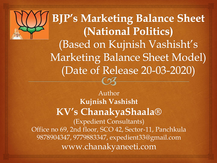**BJP's Marketing Balance Sheet** (National Politics) (Based on Kujnish Vashisht's **Marketing Balance Sheet Model)** (Date of Release 20-03-2020)

Author **Kujnish Vashisht KV's ChanakyaShaala®** (Expedient Consultants) Office no 69, 2nd floor, SCO 42, Sector-11, Panchkula 9878904347, 9779883347, expedient33@gmail.com www.chanakyaneeti.com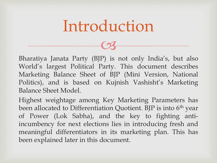### Introduction

 $C<sub>3</sub>$ 

Bharatiya Janata Party (BJP) is not only India's, but also World's largest Political Party. This document describes Marketing Balance Sheet of BJP (Mini Version, National Politics), and is based on Kujnish Vashisht's Marketing Balance Sheet Model.

Highest weightage among Key Marketing Parameters has been allocated to Differentiation Quotient. BJP is into 6<sup>th</sup> year of Power (Lok Sabha), and the key to fighting antiincumbency for next elections lies in introducing fresh and meaningful differentiators in its marketing plan. This has been explained later in this document.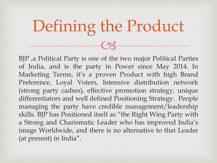# $C<sub>3</sub>$ Defining the Product

BJP ,a Political Party is one of the two major Political Parties of India, and is the party in Power since May 2014. In Marketing Terms, it's a proven Product with high Brand Preference, Loyal Voters, Intensive distribution network (strong party cadres), effective promotion strategy, unique differentiators and well defined Positioning Strategy. People managing the party have credible management/leadership skills. BJP has Positioned itself as "the Right Wing Party with a Strong and Charismatic Leader who has improved India's image Worldwide, and there is no alternative to that Leader (at present) in India".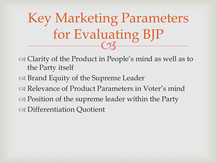CS Key Marketing Parameters for Evaluating BJP

of the Product in People's mind as well as to the Party itself

- of the Supreme Leader
- Relevance of Product Parameters in Voter's mind
- of the supreme leader within the Party
- Differentiation Quotient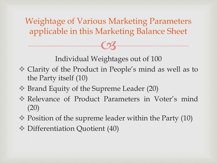Weightage of Various Marketing Parameters applicable in this Marketing Balance Sheet

Individual Weightages out of 100

 $C<sub>3</sub>$ 

- Clarity of the Product in People's mind as well as to the Party itself (10)
- Brand Equity of the Supreme Leader (20)
- Relevance of Product Parameters in Voter's mind (20)
- $\therefore$  Position of the supreme leader within the Party (10)
- $\triangleq$  Differentiation Quotient (40)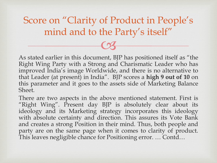$C<sub>3</sub>$ Score on "Clarity of Product in People's mind and to the Party's itself"

As stated earlier in this document, BJP has positioned itself as "the Right Wing Party with a Strong and Charismatic Leader who has improved India's image Worldwide, and there is no alternative to that Leader (at present) in India". BJP scores a **high 9 out of 10** on this parameter and it goes to the assets side of Marketing Balance Sheet.

There are two aspects in the above mentioned statement. First is "Right Wing". Present day BJP is absolutely clear about its ideology and its Marketing strategy incorporates this ideology with absolute certainty and direction. This assures its Vote Bank and creates a strong Position in their mind. Thus, both people and party are on the same page when it comes to clarity of product. This leaves negligible chance for Positioning error. … Contd…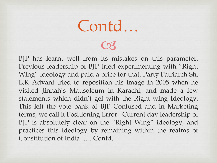Contd…

BJP has learnt well from its mistakes on this parameter. Previous leadership of BJP tried experimenting with "Right Wing" ideology and paid a price for that. Party Patriarch Sh. L.K Advani tried to reposition his image in 2005 when he visited Jinnah's Mausoleum in Karachi, and made a few statements which didn't gel with the Right wing Ideology. This left the vote bank of BJP Confused and in Marketing terms, we call it Positioning Error. Current day leadership of BJP is absolutely clear on the "Right Wing" ideology, and practices this ideology by remaining within the realms of Constitution of India. …. Contd..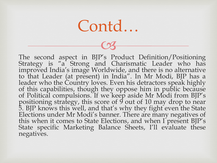$C<sub>3</sub>$ 

The second aspect in BJP's Product Definition/Positioning Strategy is "a Strong and Charismatic Leader who has improved India's image Worldwide, and there is no alternative to that Leader (at present) in India". In Mr Modi, BJP has a leader who the Country loves. Even his detractors speak highly of this capabilities, though they oppose him in public because of Political compulsions. If we keep aside Mr Modi from BJP's positioning strategy, this score of 9 out of 10 may drop to near 5. BJP knows this well, and that's why they fight even the State Elections under Mr Modi's banner. There are many negatives of this when it comes to State Elections, and when I present BJP's State specific Marketing Balance Sheets, I'll evaluate these negatives.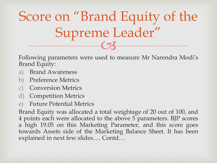$\overline{\text{C3}}$ Score on "Brand Equity of the Supreme Leader"

Following parameters were used to measure Mr Narendra Modi's Brand Equity:

- a) Brand Awareness
- b) Preference Metrics
- **Conversion Metrics**
- d) Competition Metrics
- e) Future Potential Metrics

Brand Equity was allocated a total weightage of 20 out of 100, and 4 points each were allocated to the above 5 parameters. BJP scores a high 19.05 on this Marketing Parameter, and this score goes towards Assets side of the Marketing Balance Sheet. It has been explained in next few slides…. Contd…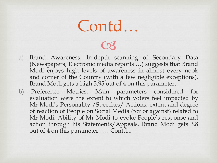$C<sub>3</sub>$ 

- a) Brand Awareness: In-depth scanning of Secondary Data (Newspapers, Electronic media reports …) suggests that Brand Modi enjoys high levels of awareness in almost every nook and corner of the Country (with a few negligible exceptions). Brand Modi gets a high 3.95 out of 4 on this parameter.
- b) Preference Metrics: Main parameters considered for evaluation were the extent to which voters feel impacted by Mr Modi's Personality /Speeches/ Actions, extent and degree of reaction of People on Social Media (for or against) related to Mr Modi, Ability of Mr Modi to evoke People's response and action through his Statements/Appeals. Brand Modi gets 3.8 out of 4 on this parameter … Contd,,,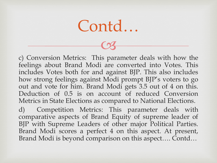Contd…

c) Conversion Metrics: This parameter deals with how the feelings about Brand Modi are converted into Votes. This includes Votes both for and against BJP. This also includes how strong feelings against Modi prompt BJP's voters to go out and vote for him. Brand Modi gets 3.5 out of 4 on this. Deduction of 0.5 is on account of reduced Conversion Metrics in State Elections as compared to National Elections.

d) Competition Metrics: This parameter deals with comparative aspects of Brand Equity of supreme leader of BJP with Supreme Leaders of other major Political Parties. Brand Modi scores a perfect 4 on this aspect. At present, Brand Modi is beyond comparison on this aspect…. Contd…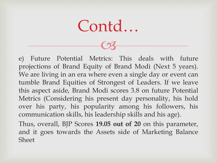$C<sub>3</sub>$ 

e) Future Potential Metrics: This deals with future projections of Brand Equity of Brand Modi (Next 5 years). We are living in an era where even a single day or event can tumble Brand Equities of Strongest of Leaders. If we leave this aspect aside, Brand Modi scores 3.8 on future Potential Metrics (Considering his present day personality, his hold over his party, his popularity among his followers, his communication skills, his leadership skills and his age). Thus, overall, BJP Scores **19.05 out of 20** on this parameter, and it goes towards the Assets side of Marketing Balance **Sheet**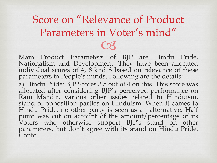$C<sub>3</sub>$ Score on "Relevance of Product Parameters in Voter's mind"

Main Product Parameters of BJP are Hindu Pride, Nationalism and Development. They have been allocated individual scores of 4, 8 and 8 based on relevance of these parameters in People's minds. Following are the details: a) Hindu Pride: BJP Scores 3.5 out of 4 on this. This score was allocated after considering BJP's perceived performance on Ram Mandir, various other issues related to Hinduism, stand of opposition parties on Hinduism. When it comes to Hindu Pride, no other party is seen as an alternative. Half point was cut on account of the amount/percentage of its

Voters who otherwise support BJP's stand on other parameters, but don't agree with its stand on Hindu Pride. Contd…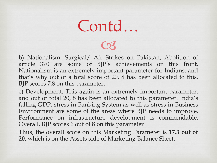Contd…

b) Nationalism: Surgical/ Air Strikes on Pakistan, Abolition of article 370 are some of BJP's achievements on this front. Nationalism is an extremely important parameter for Indians, and that's why out of a total score of 20, 8 has been allocated to this. BJP scores 7.8 on this parameter.

c) Development: This again is an extremely important parameter, and out of total 20, 8 has been allocated to this parameter. India's falling GDP, stress in Banking System as well as stress in Business Environment are some of the areas where BJP needs to improve. Performance on infrastructure development is commendable. Overall, BJP scores 6 out of 8 on this parameter

Thus, the overall score on this Marketing Parameter is **17.3 out of 20**, which is on the Assets side of Marketing Balance Sheet.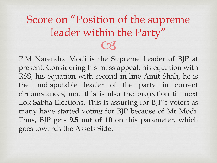$C<sub>3</sub>$ Score on "Position of the supreme leader within the Party"

P.M Narendra Modi is the Supreme Leader of BJP at present. Considering his mass appeal, his equation with RSS, his equation with second in line Amit Shah, he is the undisputable leader of the party in current circumstances, and this is also the projection till next Lok Sabha Elections. This is assuring for BJP's voters as many have started voting for BJP because of Mr Modi. Thus, BJP gets **9.5 out of 10** on this parameter, which goes towards the Assets Side.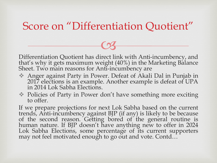#### Score on "Differentiation Quotient"

Differentiation Quotient has direct link with Anti-incumbency, and that's why it gets maximum weight (40%) in the Marketing Balance Sheet. Two main reasons for Anti-incumbency are

 $C<sub>3</sub>$ 

- Anger against Party in Power. Defeat of Akali Dal in Punjab in 2017 elections is an example. Another example is defeat of UPA in 2014 Lok Sabha Elections.
- Policies of Party in Power don't have something more exciting to offer.

If we prepare projections for next Lok Sabha based on the current trends, Anti-incumbency against BJP (if any) is likely to be because of the second reason. Getting bored of the general routine is human nature. If BJP doesn't have anything new to offer in 2024 Lok Sabha Elections, some percentage of its current supporters may not feel motivated enough to go out and vote. Contd…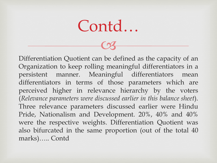Contd…

Differentiation Quotient can be defined as the capacity of an Organization to keep rolling meaningful differentiators in a persistent manner. Meaningful differentiators mean differentiators in terms of those parameters which are perceived higher in relevance hierarchy by the voters (*Relevance parameters were discussed earlier in this balance sheet*). Three relevance parameters discussed earlier were Hindu Pride, Nationalism and Development. 20%, 40% and 40% were the respective weights. Differentiation Quotient was also bifurcated in the same proportion (out of the total 40 marks)….. Contd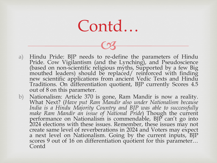$C<sub>3</sub>$ 

- a) Hindu Pride: BJP needs to re-define the parameters of Hindu Pride. Cow Vigilantism (and the Lynching), and Pseudoscience (based on non-scientific religious myths, Supported by a few Big mouthed leaders) should be replaced/ reinforced with finding new scientific applications from ancient Vedic Texts and Hindu Traditions. On differentiation quotient, BJP currently Scores 4.5 out of 8 on this parameter.
- b) Nationalism: Article 370 is gone, Ram Mandir is now a reality. What Next? (*Have put Ram Mandir also under Nationalism because India is a Hindu Majority Country and BJP was able to successfully make Ram Mandir an issue of National Pride*) Though the current performance on Nationalism is commendable, BJP can't go into 2024 elections with these issues. Remember, these issues may not create same level of reverberations in 2024 and Voters may expect a next level on Nationalism. Going by the current inputs, BJP scores 9 out of 16 on differentiation quotient for this parameter… Contd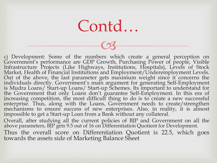Contd…

c) Development: Some of the numbers which create a general perception on Government's performance are GDP Growth, Purchasing Power of people, Visible Infrastructure Projects (Like Highways, Institutions, Hospitals), Levels of Stock Market, Health of Financial Institutions and Employment/Underemployment Levels. Out of the above, the last parameter gets maximum weight since it concerns the individuals directly. Government's main argument for generating Self-Employment is Mudra Loans/ Start-up Loans/ Start-up Schemes. Its important to understand for the Government that only Loans don't guarantee Self-Employment. In this era of increasing competition, the most difficult thing to do is to create a new successful enterprise. Thus, along with the Loans, Government needs to create/strengthen mechanisms to ensure success of new enterprises. Also, in reality, it is almost impossible to get a Start-up Loan from a Bank without any collateral. Overall, after studying all the current policies of BJP and Government on all the above parameters, BJP gets 9.5 out of 16 on Differentiation Quotient for Development. Thus the overall score on Differentiation Quotient is 22.5, which goes

towards the assets side of Marketing Balance Sheet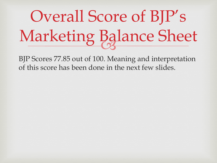#### **Ug** Overall Score of BJP's Marketing Balance Sheet

BJP Scores 77.85 out of 100. Meaning and interpretation of this score has been done in the next few slides.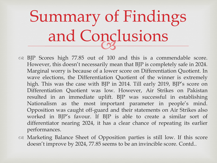#### **LIS** Summary of Findings and Conclusions

- BJP Scores high 77.85 out of 100 and this is a commendable score. However, this doesn't necessarily mean that BJP is completely safe in 2024. Marginal worry is because of a lower score on Differentiation Quotient. In wave elections, the Differentiation Quotient of the winner is extremely high. This was the case with BJP in 2014. Till early 2019, BJP's score on Differentiation Quotient was low. However, Air Strikes on Pakistan resulted in an immediate uplift. BJP was successful in establishing Nationalism as the most important parameter in people's mind. Opposition was caught off-guard and their statements on Air Strikes also worked in BJP's favour. If BJP is able to create a similar sort of differentiator nearing 2024, it has a clear chance of repeating its earlier performances.
- Marketing Balance Sheet of Opposition parties is still low. If this score doesn't improve by 2024, 77.85 seems to be an invincible score. Contd..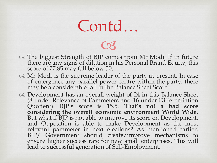The biggest Strength of BJP comes from Mr Modi. If in future there are any signs of dilution in his Personal Brand Equity, this score of 77.85 may fall below 50.

 $C<sub>3</sub>$ 

- os Mr Modi is the supreme leader of the party at present. In case of emergence any parallel power centre within the party, there may be a considerable fall in the Balance Sheet Score.
- on Development has an overall weight of 24 in this Balance Sheet (8 under Relevance of Parameters and 16 under Differentiation Quotient). BJP's score is 15.5. **That's not a bad score considering the overall economic environment World Wide.** But what if BJP is not able to improve its score on Development, and Opposition is able to make Development as the most relevant parameter in next elections? As mentioned earlier, BJP/ Government should create/improve mechanisms to ensure higher success rate for new small enterprises. This will lead to successful generation of Self-Employment.